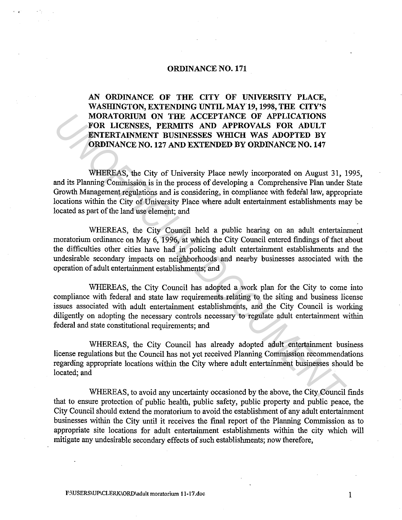## **ORDINANCE NO. 171**

 $\cdot$   $\cdot$ 

**AN ORDINANCE OF THE CITY OF UNIVERSITY PLACE, WASHINGTON, EXTENDING UNTIL MAY19, 1998, THE CITY'S MORATORIUM ON THE ACCEPTANCE OF APPLICATIONS FOR LICENSES, PERMITS AND APPROVALS FOR ADULT ENTERTAINMENT BUSINESSES WHICH WAS ADOPTED BY ORDINANCE NO. 127 AND EXTENDED BY ORDINANCE NO. 147** 

WHEREAS, the City of University Place newly incorporated on August 31, 1995, and its Planning Commission is in the process of developing a Comprehensive Plan under State Growth Management regulations and is considering, in compliance with federal law, appropriate locations within the City of University Place where adult entertainment establishments may be located as part of the land use element; and MORATORIUM ON THEE *ACCEPTANCE OF APPLICATIONS*<br> **FOR LICENSES, PERMITS AND APPROVALS FOR ADULT**<br> **ENTERTAINMENT BUSINESSES WHICH WAS ADOPTED BY**<br> **ORDINANCE NO. 127 AND EXTENDED BY** ORDINANCE NO. 147<br> **WHEREAS**, the City

WHEREAS, the City Council held a public hearing on an adult entertainment moratorium ordinance on May 6, 1996, at which the City Council entered findings of fact about the difficulties other cities have had in policing adult entertainment establishments and the undesirable secondary impacts on neighborhoods and nearby businesses associated with the operation of adult entertainment establishments; and

WHEREAS, the City Council has adopted a work plan for the City to come into compliance with federal and state law requirements relating to the siting and business license issues associated with adult entertainment establishments, and the City Council is working diligently on adopting the necessary controls necessary to regulate adult entertainment within federal and state constitutional requirements; and

WHEREAS, the City Council has already adopted adult entertainment business license regulations but the Council has not yet received Planning Commission recommendations regarding appropriate locations within the City where adult entertainment businesses should be located; and

WHEREAS, to avoid any uncertainty occasioned by the above, the City Council finds that to ensure protection of public health, public safety, public property and public peace, the City Council should extend the moratorium to avoid the establishment of any adult entertainment businesses within the City until it receives the final report of the Planning Commission as to appropriate site locations for adult entertainment establishments within the city which will mitigate any undesirable secondary effects of such establishments; now therefore,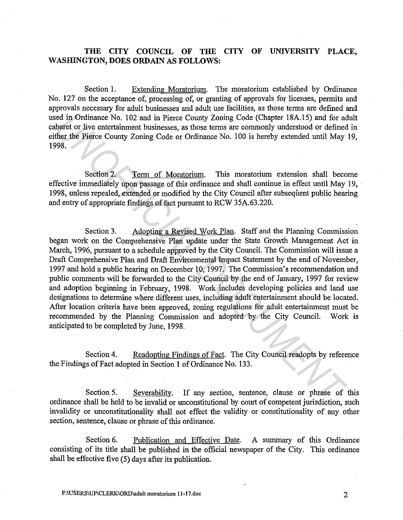## **THE CITY COUNCIL OF THE CITY OF UNIVERSITY PLACE,**  WASHINGTON, DOES ORDAIN AS FOLLOWS:

Section 1. Extending Moratorium. The moratorium established by Ordinance No. 127 on the acceptance of, processing of, or granting of approvals for licenses, permits and approvals necessary for adult businesses arid adult use facilities, as those terms are defined and used in Ordinance No. 102 and in Pierce County Zoning Code (Chapter 18A.15) and for adult cabaret or live entertainment businesses, as those terms are commonly understood or defined in either the Pierce County Zoning Code or Ordinance No. 100 is hereby extended until May 19, 1998.

Section 2. Term of Moratorium. This moratorium extension shall become effective immediately upon passage of this ordinance and shall continue in effect until May 19, 1998, unless repealed, extended or modified by the City Council after subsequent public hearing and entry of appropriate findings of fact pursuant to RCW 3SA.63.220.

Section 3. Adopting a Revised Work Plan. Staff and the Planning Commission began work on the Comprehensive Plan update under the State Growth Management Act in March, 1996, pursuant to a schedule approved by the City Council. The Commission will issue a Draft Comprehensive Plan and Draft Environmental Impact Statement by the end of November, 1997 and hold a public hearing on December 10, 1997. The Commission's recommendation and public comments will be forwarded to the City Council by the end of January, 1997 for review and adoption beginning in February, 1998. Work includes developing policies and land use designations to determine where different uses, including adult entertainment should be located. After location criteria have been approved, zoning regulations for adult entertainment must be recommended by the Planning Commission and adopted by the City Council. Work is anticipated to be completed by June, 1998. ied in Ordinance No. 102 and in Pierce County Zoning Code (Chapter 18A.15) and for achaet or live enlevent businesses, as those terms are commonly understood or defined<br>there the enventretainment businesses, as those terms

Section 4. Readopting Findings of Fact. The City Council readopts by reference the Findings of Fact adopted in Section **1** of Ordinance No. 133.

Section 5. Severability. If any section, sentence, clause or phrase of this ordinance shall be held to be invalid or unconstitutional by court of competent jurisdiction, such invalidity or unconstitutionality shall not effect the validity or constitutionality of any other section, sentence, clause or phrase of this ordinance.

Section 6. Publication and Effective Date. A summary of this Ordinance consisting of its title shall be published in the official newspaper of the City. This ordinance shall be effective five (5) days after its publication.